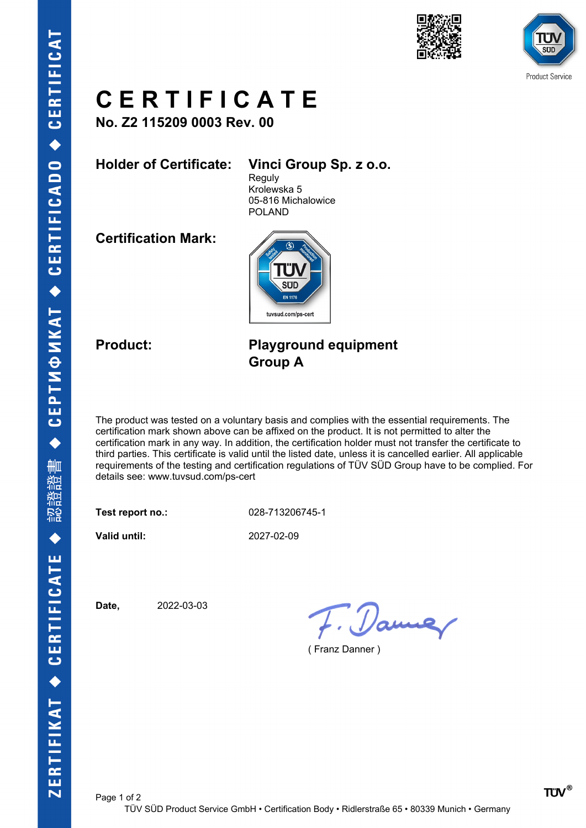



# **C E R T I F I C A T E**

**No. Z2 115209 0003 Rev. 00**

### **Holder of Certificate: Vinci Group Sp. z o.o.**

**Reguly** Krolewska 5 05-816 Michalowice POLAND

**Certification Mark:**



### **Product: Playground equipment Group A**

The product was tested on a voluntary basis and complies with the essential requirements. The certification mark shown above can be affixed on the product. It is not permitted to alter the certification mark in any way. In addition, the certification holder must not transfer the certificate to third parties. This certificate is valid until the listed date, unless it is cancelled earlier. All applicable requirements of the testing and certification regulations of TÜV SÜD Group have to be complied. For details see: www.tuvsud.com/ps-cert

**Test report no.:** 028-713206745-1

**Valid until:** 2027-02-09

**Date,** 2022-03-03

F. Dame

( Franz Danner )